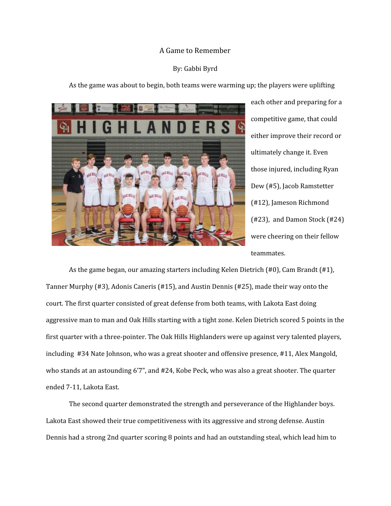## A Game to Remember

## By: Gabbi Byrd

As the game was about to begin, both teams were warming up; the players were uplifting



each other and preparing for a competitive game, that could either improve their record or ultimately change it. Even those injured, including Ryan Dew (#5), Jacob Ramstetter (#12), Jameson Richmond (#23), and Damon Stock (#24) were cheering on their fellow teammates.

As the game began, our amazing starters including Kelen Dietrich (#0), Cam Brandt (#1), Tanner Murphy (#3), Adonis Caneris (#15), and Austin Dennis (#25), made their way onto the court. The first quarter consisted of great defense from both teams, with Lakota East doing aggressive man to man and Oak Hills starting with a tight zone. Kelen Dietrich scored 5 points in the first quarter with a three-pointer. The Oak Hills Highlanders were up against very talented players, including #34 Nate Johnson, who was a great shooter and offensive presence, #11, Alex Mangold, who stands at an astounding 6'7", and #24, Kobe Peck, who was also a great shooter. The quarter ended 7-11, Lakota East.

The second quarter demonstrated the strength and perseverance of the Highlander boys. Lakota East showed their true competitiveness with its aggressive and strong defense. Austin Dennis had a strong 2nd quarter scoring 8 points and had an outstanding steal, which lead him to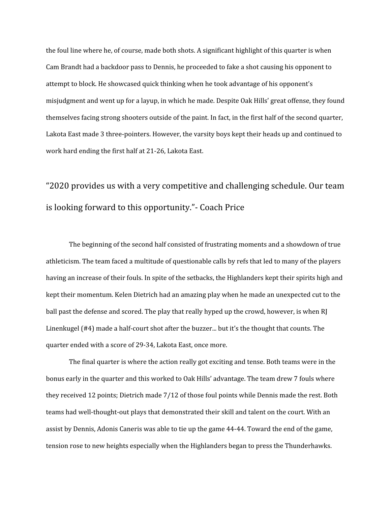the foul line where he, of course, made both shots. A significant highlight of this quarter is when Cam Brandt had a backdoor pass to Dennis, he proceeded to fake a shot causing his opponent to attempt to block. He showcased quick thinking when he took advantage of his opponent's misjudgment and went up for a layup, in which he made. Despite Oak Hills' great offense, they found themselves facing strong shooters outside of the paint. In fact, in the first half of the second quarter, Lakota East made 3 three-pointers. However, the varsity boys kept their heads up and continued to work hard ending the first half at 21-26, Lakota East.

## "2020 provides us with a very competitive and challenging schedule. Our team is looking forward to this opportunity."- Coach Price

The beginning of the second half consisted of frustrating moments and a showdown of true athleticism. The team faced a multitude of questionable calls by refs that led to many of the players having an increase of their fouls. In spite of the setbacks, the Highlanders kept their spirits high and kept their momentum. Kelen Dietrich had an amazing play when he made an unexpected cut to the ball past the defense and scored. The play that really hyped up the crowd, however, is when RJ Linenkugel (#4) made a half-court shot after the buzzer... but it's the thought that counts. The quarter ended with a score of 29-34, Lakota East, once more.

The final quarter is where the action really got exciting and tense. Both teams were in the bonus early in the quarter and this worked to Oak Hills' advantage. The team drew 7 fouls where they received 12 points; Dietrich made 7/12 of those foul points while Dennis made the rest. Both teams had well-thought-out plays that demonstrated their skill and talent on the court. With an assist by Dennis, Adonis Caneris was able to tie up the game 44-44. Toward the end of the game, tension rose to new heights especially when the Highlanders began to press the Thunderhawks.